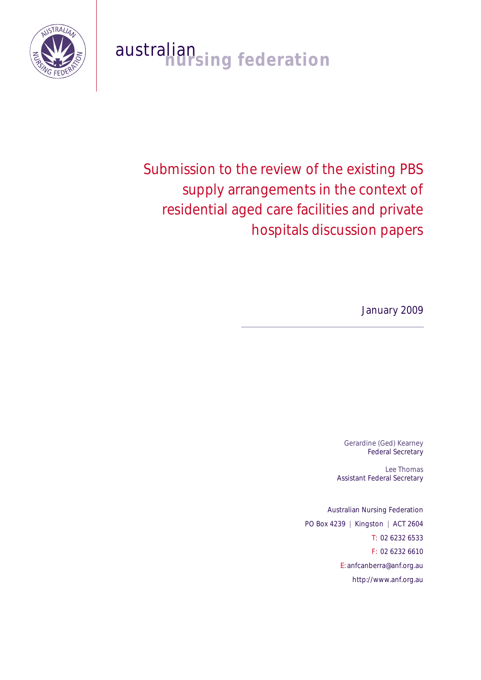

# australian<br>**nursing federation**

Submission to the review of the existing PBS supply arrangements in the context of residential aged care facilities and private hospitals discussion papers

January 2009

Gerardine (Ged) Kearney Federal Secretary

Lee Thomas Assistant Federal Secretary

Australian Nursing Federation PO Box 4239 | Kingston | ACT 2604 T: 02 6232 6533 F: 02 6232 6610 E: anfcanberra@anf.org.au http://www.anf.org.au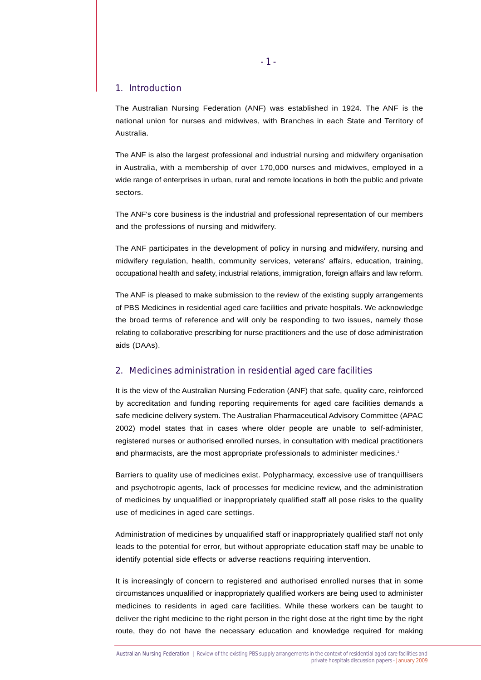#### 1. Introduction

The Australian Nursing Federation (ANF) was established in 1924. The ANF is the national union for nurses and midwives, with Branches in each State and Territory of Australia.

The ANF is also the largest professional and industrial nursing and midwifery organisation in Australia, with a membership of over 170,000 nurses and midwives, employed in a wide range of enterprises in urban, rural and remote locations in both the public and private sectors.

The ANF's core business is the industrial and professional representation of our members and the professions of nursing and midwifery.

The ANF participates in the development of policy in nursing and midwifery, nursing and midwifery regulation, health, community services, veterans' affairs, education, training, occupational health and safety, industrial relations, immigration, foreign affairs and law reform.

The ANF is pleased to make submission to the review of the existing supply arrangements of PBS Medicines in residential aged care facilities and private hospitals. We acknowledge the broad terms of reference and will only be responding to two issues, namely those relating to collaborative prescribing for nurse practitioners and the use of dose administration aids (DAAs).

# 2. Medicines administration in residential aged care facilities

It is the view of the Australian Nursing Federation (ANF) that safe, quality care, reinforced by accreditation and funding reporting requirements for aged care facilities demands a safe medicine delivery system. The Australian Pharmaceutical Advisory Committee (APAC 2002) model states that in cases where older people are unable to self-administer, registered nurses or authorised enrolled nurses, in consultation with medical practitioners and pharmacists, are the most appropriate professionals to administer medicines.<sup>1</sup>

Barriers to quality use of medicines exist. Polypharmacy, excessive use of tranquillisers and psychotropic agents, lack of processes for medicine review, and the administration of medicines by unqualified or inappropriately qualified staff all pose risks to the quality use of medicines in aged care settings.

Administration of medicines by unqualified staff or inappropriately qualified staff not only leads to the potential for error, but without appropriate education staff may be unable to identify potential side effects or adverse reactions requiring intervention.

It is increasingly of concern to registered and authorised enrolled nurses that in some circumstances unqualified or inappropriately qualified workers are being used to administer medicines to residents in aged care facilities. While these workers can be taught to deliver the right medicine to the right person in the right dose at the right time by the right route, they do not have the necessary education and knowledge required for making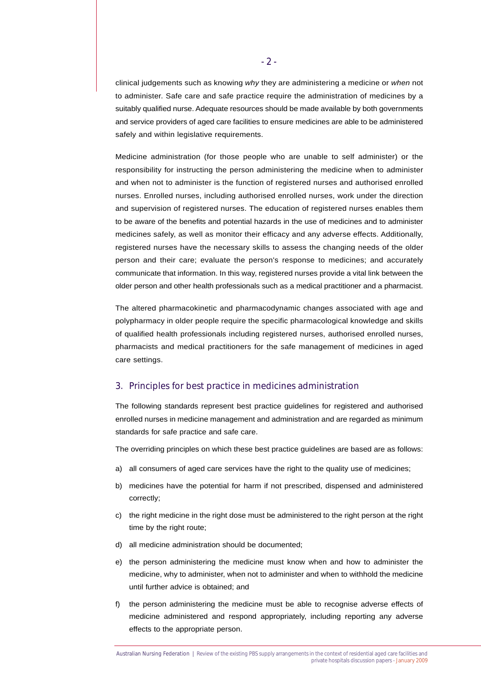clinical judgements such as knowing *why* they are administering a medicine or *when* not to administer. Safe care and safe practice require the administration of medicines by a suitably qualified nurse. Adequate resources should be made available by both governments and service providers of aged care facilities to ensure medicines are able to be administered safely and within legislative requirements.

Medicine administration (for those people who are unable to self administer) or the responsibility for instructing the person administering the medicine when to administer and when not to administer is the function of registered nurses and authorised enrolled nurses. Enrolled nurses, including authorised enrolled nurses, work under the direction and supervision of registered nurses. The education of registered nurses enables them to be aware of the benefits and potential hazards in the use of medicines and to administer medicines safely, as well as monitor their efficacy and any adverse effects. Additionally, registered nurses have the necessary skills to assess the changing needs of the older person and their care; evaluate the person's response to medicines; and accurately communicate that information. In this way, registered nurses provide a vital link between the older person and other health professionals such as a medical practitioner and a pharmacist.

The altered pharmacokinetic and pharmacodynamic changes associated with age and polypharmacy in older people require the specific pharmacological knowledge and skills of qualified health professionals including registered nurses, authorised enrolled nurses, pharmacists and medical practitioners for the safe management of medicines in aged care settings.

# 3. Principles for best practice in medicines administration

The following standards represent best practice guidelines for registered and authorised enrolled nurses in medicine management and administration and are regarded as minimum standards for safe practice and safe care.

The overriding principles on which these best practice guidelines are based are as follows:

- a) all consumers of aged care services have the right to the quality use of medicines;
- b) medicines have the potential for harm if not prescribed, dispensed and administered correctly;
- c) the right medicine in the right dose must be administered to the right person at the right time by the right route;
- d) all medicine administration should be documented;
- e) the person administering the medicine must know when and how to administer the medicine, why to administer, when not to administer and when to withhold the medicine until further advice is obtained; and
- f) the person administering the medicine must be able to recognise adverse effects of medicine administered and respond appropriately, including reporting any adverse effects to the appropriate person.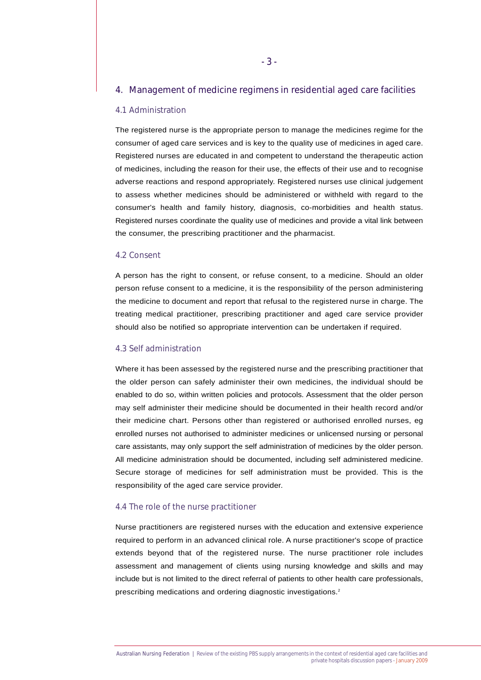# 4. Management of medicine regimens in residential aged care facilities

# 4.1 Administration

The registered nurse is the appropriate person to manage the medicines regime for the consumer of aged care services and is key to the quality use of medicines in aged care. Registered nurses are educated in and competent to understand the therapeutic action of medicines, including the reason for their use, the effects of their use and to recognise adverse reactions and respond appropriately. Registered nurses use clinical judgement to assess whether medicines should be administered or withheld with regard to the consumer's health and family history, diagnosis, co-morbidities and health status. Registered nurses coordinate the quality use of medicines and provide a vital link between the consumer, the prescribing practitioner and the pharmacist.

### 4.2 Consent

A person has the right to consent, or refuse consent, to a medicine. Should an older person refuse consent to a medicine, it is the responsibility of the person administering the medicine to document and report that refusal to the registered nurse in charge. The treating medical practitioner, prescribing practitioner and aged care service provider should also be notified so appropriate intervention can be undertaken if required.

#### 4.3 Self administration

Where it has been assessed by the registered nurse and the prescribing practitioner that the older person can safely administer their own medicines, the individual should be enabled to do so, within written policies and protocols. Assessment that the older person may self administer their medicine should be documented in their health record and/or their medicine chart. Persons other than registered or authorised enrolled nurses, eg enrolled nurses not authorised to administer medicines or unlicensed nursing or personal care assistants, may only support the self administration of medicines by the older person. All medicine administration should be documented, including self administered medicine. Secure storage of medicines for self administration must be provided. This is the responsibility of the aged care service provider.

#### 4.4 The role of the nurse practitioner

Nurse practitioners are registered nurses with the education and extensive experience required to perform in an advanced clinical role. A nurse practitioner's scope of practice extends beyond that of the registered nurse. The nurse practitioner role includes assessment and management of clients using nursing knowledge and skills and may include but is not limited to the direct referral of patients to other health care professionals, prescribing medications and ordering diagnostic investigations.<sup>2</sup>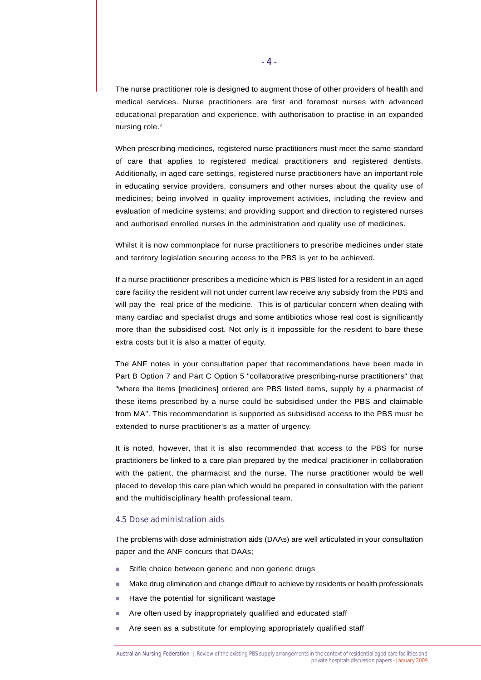The nurse practitioner role is designed to augment those of other providers of health and medical services. Nurse practitioners are first and foremost nurses with advanced educational preparation and experience, with authorisation to practise in an expanded nursing role.<sup>3</sup>

When prescribing medicines, registered nurse practitioners must meet the same standard of care that applies to registered medical practitioners and registered dentists. Additionally, in aged care settings, registered nurse practitioners have an important role in educating service providers, consumers and other nurses about the quality use of medicines; being involved in quality improvement activities, including the review and evaluation of medicine systems; and providing support and direction to registered nurses and authorised enrolled nurses in the administration and quality use of medicines.

Whilst it is now commonplace for nurse practitioners to prescribe medicines under state and territory legislation securing access to the PBS is yet to be achieved.

If a nurse practitioner prescribes a medicine which is PBS listed for a resident in an aged care facility the resident will not under current law receive any subsidy from the PBS and will pay the real price of the medicine. This is of particular concern when dealing with many cardiac and specialist drugs and some antibiotics whose real cost is significantly more than the subsidised cost. Not only is it impossible for the resident to bare these extra costs but it is also a matter of equity.

The ANF notes in your consultation paper that recommendations have been made in Part B Option 7 and Part C Option 5 "collaborative prescribing-nurse practitioners" that "where the items [medicines] ordered are PBS listed items, supply by a pharmacist of these items prescribed by a nurse could be subsidised under the PBS and claimable from MA". This recommendation is supported as subsidised access to the PBS must be extended to nurse practitioner's as a matter of urgency.

It is noted, however, that it is also recommended that access to the PBS for nurse practitioners be linked to a care plan prepared by the medical practitioner in collaboration with the patient, the pharmacist and the nurse. The nurse practitioner would be well placed to develop this care plan which would be prepared in consultation with the patient and the multidisciplinary health professional team.

#### 4.5 Dose administration aids

The problems with dose administration aids (DAAs) are well articulated in your consultation paper and the ANF concurs that DAAs;

- **EXEL Stifle choice between generic and non generic drugs**
- ! Make drug elimination and change difficult to achieve by residents or health professionals
- Have the potential for significant wastage
- **EXECUTE:** Are often used by inappropriately qualified and educated staff
- **EXEDENT Are seen as a substitute for employing appropriately qualified staff**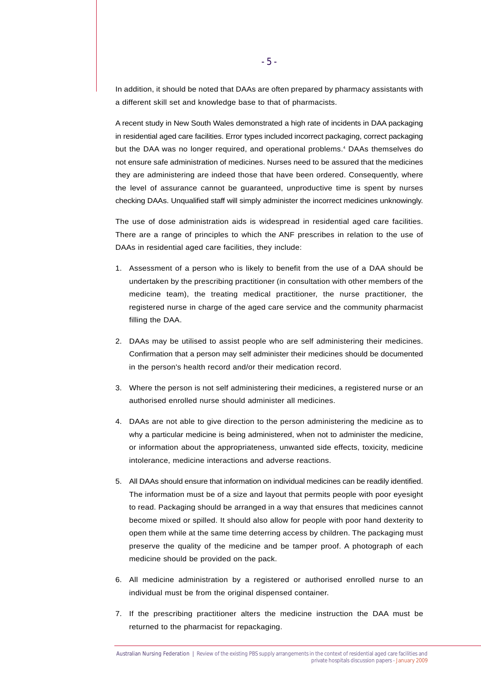In addition, it should be noted that DAAs are often prepared by pharmacy assistants with a different skill set and knowledge base to that of pharmacists.

A recent study in New South Wales demonstrated a high rate of incidents in DAA packaging in residential aged care facilities. Error types included incorrect packaging, correct packaging but the DAA was no longer required, and operational problems.<sup>4</sup> DAAs themselves do not ensure safe administration of medicines. Nurses need to be assured that the medicines they are administering are indeed those that have been ordered. Consequently, where the level of assurance cannot be guaranteed, unproductive time is spent by nurses checking DAAs. Unqualified staff will simply administer the incorrect medicines unknowingly.

The use of dose administration aids is widespread in residential aged care facilities. There are a range of principles to which the ANF prescribes in relation to the use of DAAs in residential aged care facilities, they include:

- 1. Assessment of a person who is likely to benefit from the use of a DAA should be undertaken by the prescribing practitioner (in consultation with other members of the medicine team), the treating medical practitioner, the nurse practitioner, the registered nurse in charge of the aged care service and the community pharmacist filling the DAA.
- 2. DAAs may be utilised to assist people who are self administering their medicines. Confirmation that a person may self administer their medicines should be documented in the person's health record and/or their medication record.
- 3. Where the person is not self administering their medicines, a registered nurse or an authorised enrolled nurse should administer all medicines.
- 4. DAAs are not able to give direction to the person administering the medicine as to why a particular medicine is being administered, when not to administer the medicine, or information about the appropriateness, unwanted side effects, toxicity, medicine intolerance, medicine interactions and adverse reactions.
- 5. All DAAs should ensure that information on individual medicines can be readily identified. The information must be of a size and layout that permits people with poor eyesight to read. Packaging should be arranged in a way that ensures that medicines cannot become mixed or spilled. It should also allow for people with poor hand dexterity to open them while at the same time deterring access by children. The packaging must preserve the quality of the medicine and be tamper proof. A photograph of each medicine should be provided on the pack.
- 6. All medicine administration by a registered or authorised enrolled nurse to an individual must be from the original dispensed container.
- 7. If the prescribing practitioner alters the medicine instruction the DAA must be returned to the pharmacist for repackaging.

Australian Nursing Federation | Review of the existing PBS supply arrangements in the context of residential aged care facilities and private hospitals discussion papers - January 2009